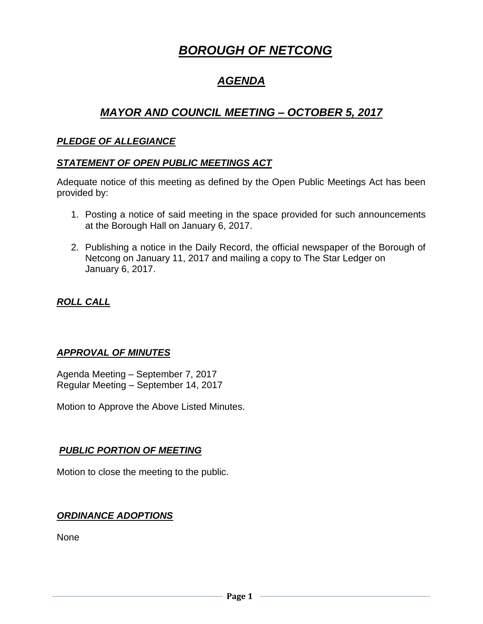# *BOROUGH OF NETCONG*

# *AGENDA*

# *MAYOR AND COUNCIL MEETING – OCTOBER 5, 2017*

#### *PLEDGE OF ALLEGIANCE*

#### *STATEMENT OF OPEN PUBLIC MEETINGS ACT*

Adequate notice of this meeting as defined by the Open Public Meetings Act has been provided by:

- 1. Posting a notice of said meeting in the space provided for such announcements at the Borough Hall on January 6, 2017.
- 2. Publishing a notice in the Daily Record, the official newspaper of the Borough of Netcong on January 11, 2017 and mailing a copy to The Star Ledger on January 6, 2017.

# *ROLL CALL*

# *APPROVAL OF MINUTES*

Agenda Meeting – September 7, 2017 Regular Meeting – September 14, 2017

Motion to Approve the Above Listed Minutes.

#### *PUBLIC PORTION OF MEETING*

Motion to close the meeting to the public.

#### *ORDINANCE ADOPTIONS*

None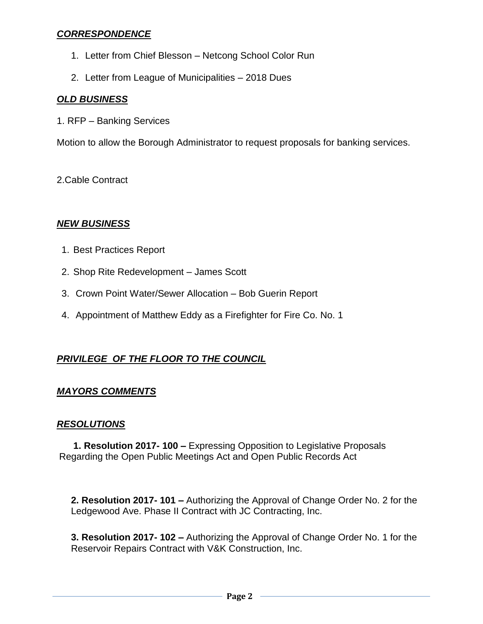#### *CORRESPONDENCE*

- 1. Letter from Chief Blesson Netcong School Color Run
- 2. Letter from League of Municipalities 2018 Dues

# *OLD BUSINESS*

1. RFP – Banking Services

Motion to allow the Borough Administrator to request proposals for banking services.

2.Cable Contract

#### *NEW BUSINESS*

- 1. Best Practices Report
- 2. Shop Rite Redevelopment James Scott
- 3. Crown Point Water/Sewer Allocation Bob Guerin Report
- 4. Appointment of Matthew Eddy as a Firefighter for Fire Co. No. 1

# *PRIVILEGE OF THE FLOOR TO THE COUNCIL*

#### *MAYORS COMMENTS*

#### *RESOLUTIONS*

**1. Resolution 2017- 100 –** Expressing Opposition to Legislative Proposals Regarding the Open Public Meetings Act and Open Public Records Act

**2. Resolution 2017- 101 –** Authorizing the Approval of Change Order No. 2 for the Ledgewood Ave. Phase II Contract with JC Contracting, Inc.

**3. Resolution 2017- 102 –** Authorizing the Approval of Change Order No. 1 for the Reservoir Repairs Contract with V&K Construction, Inc.